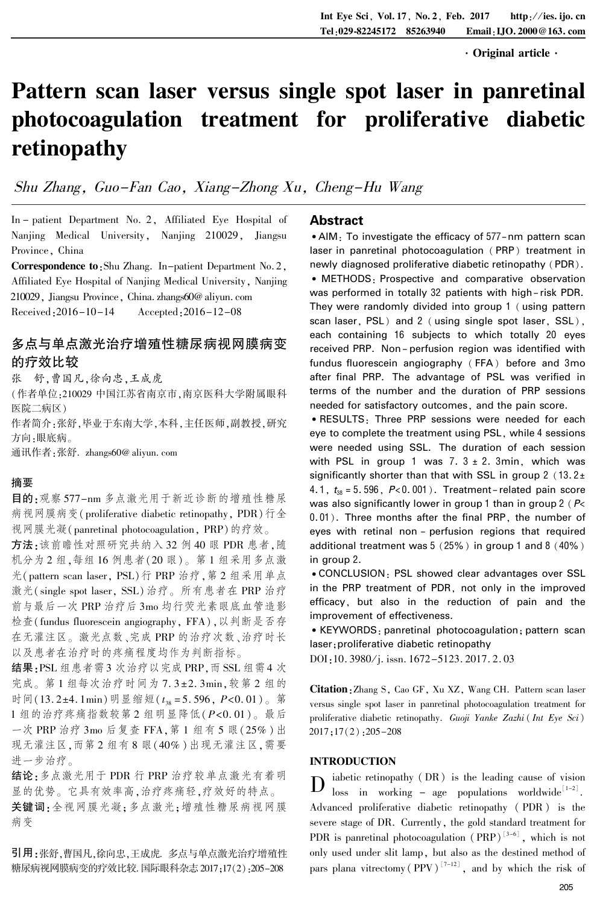·Original article·

# Pattern scan laser versus single spot laser in panretinal photocoagulation treatment for proliferative diabetic retinopathy

Shu Zhang, Guo-Fan Cao, Xiang-Zhong Xu, Cheng-Hu Wang

In - patient Department No. 2, Affiliated Eye Hospital of Nanjing Medical University, Nanjing 210029, Jiangsu Province, China

Correspondence to:Shu Zhang. In-patient Department No. 2, Affiliated Eye Hospital of Nanjing Medical University, Nanjing 210029, Jiangsu Province, China. zhangs60@ aliyun. com Received:2016-10-14 Accepted:2016-12-08

# 多点与单点激光治疗增殖性糖尿病视网膜病变 的疗效比较

张 舒,曹国凡,徐向忠,王成虎

(作者单位:210029 中国江苏省南京市,南京医科大学附属眼科 医院二病区)

作者简介:张舒,毕业于东南大学,本科,主任医师,副教授,研究 方向:眼底病。

通讯作者:张舒. zhangs60@ aliyun. com

#### 摘要

目的:观察 577-nm 多点激光用于新近诊断的增殖性糖尿 病视网膜病变(proliferative diabetic retinopathy, PDR)行全 视网膜光凝(panretinal photocoagulation, PRP)的疗效。

方法:该前瞻性对照研究共纳入 32 例 40 眼 PDR 患者,随 机分为 2 组,每组 16 例患者(20 眼)。 第 1 组采用多点激 光(pattern scan laser, PSL)行 PRP 治疗,第 2 组采用单点 激光(single spot laser, SSL)治疗。 所有患者在 PRP 治疗 前与最后一次 PRP 治疗后 3mo 均行荧光素眼底血管造影 检查(fundus fluorescein angiography, FFA),以判断是否存 在无灌注区。 激光点数、完成 PRP 的治疗次数、治疗时长 以及患者在治疗时的疼痛程度均作为判断指标。

结果:PSL 组患者需3 次治疗以完成 PRP,而 SSL 组需4 次 完成。第1组每次治疗时间为 7.3±2.3min,较第2组的 时间(13.2±4.1min)明显缩短( $t_{38} = 5.596$ ,  $P < 0.01$ )。第 1 组的治疗疼痛指数较第 2 组明显降低(P<0. 01)。 最后 一次 PRP 治疗 3mo 后复查 FFA,第 1 组有 5 眼(25% )出 现无灌注区,而第 2 组有 8 眼(40% )出现无灌注区,需要 进一步治疗。

结论:多点激光用于 PDR 行 PRP 治疗较单点激光有着明 显的优势。 它具有效率高,治疗疼痛轻,疗效好的特点。 关键词:全视网膜光凝;多点激光;增殖性糖尿病视网膜 病变

引用:张舒,曹国凡,徐向忠,王成虎. 多点与单点激光治疗增殖性 糖尿病视网膜病变的疗效比较. 国际眼科杂志2017;17(2):205-208

## Abstract

• AIM: To investigate the efficacy of 577-nm pattern scan laser in panretinal photocoagulation ( PRP) treatment in newly diagnosed proliferative diabetic retinopathy (PDR). <sup>誗</sup> METHODS: Prospective and comparative observation was performed in totally 32 patients with high- risk PDR. They were randomly divided into group 1 ( using pattern scan laser, PSL) and 2 ( using single spot laser, SSL), each containing 16 subjects to which totally 20 eyes received PRP. Non- perfusion region was identified with fundus fluorescein angiography ( FFA) before and 3mo after final PRP. The advantage of PSL was verified in terms of the number and the duration of PRP sessions needed for satisfactory outcomes, and the pain score.

<sup>誗</sup>RESULTS: Three PRP sessions were needed for each eye to complete the treatment using PSL, while 4 sessions were needed using SSL. The duration of each session with PSL in group 1 was 7.  $3 \pm 2$ . 3min, which was significantly shorter than that with SSL in group 2  $(13.2 \pm 1)$ 4. 1,  $t_{38} = 5.596$ ,  $P < 0.001$ ). Treatment-related pain score was also significantly lower in group 1 than in group 2 ( $P$  < 0. 01). Three months after the final PRP, the number of eyes with retinal non - perfusion regions that required additional treatment was 5 (25%) in group 1 and 8 (40%) in group 2.

<sup>誗</sup>CONCLUSION: PSL showed clear advantages over SSL in the PRP treatment of PDR, not only in the improved efficacy, but also in the reduction of pain and the improvement of effectiveness.

<sup>誗</sup>KEYWORDS: panretinal photocoagulation; pattern scan laser;proliferative diabetic retinopathy

DOI:10. 3980/j. issn. 1672-5123. 2017. 2. 03

Citation:Zhang S, Cao GF, Xu XZ, Wang CH. Pattern scan laser versus single spot laser in panretinal photocoagulation treatment for proliferative diabetic retinopathy. Guoji Yanke Zazhi ( Int Eye Sci) 2017;17(2):205-208

# INTRODUCTION

 $\mathbf{D}$ iabetic retinopathy (DR) is the leading cause of vision  $\text{loss}$  in working – age populations worldwide<sup>[1-2]</sup>. Advanced proliferative diabetic retinopathy ( PDR) is the severe stage of DR. Currently, the gold standard treatment for PDR is panretinal photocoagulation  $(PRP)^{\lfloor 3-6 \rfloor}$ , which is not only used under slit lamp, but also as the destined method of pars plana vitrectomy (PPV)<sup>[7-12]</sup>, and by which the risk of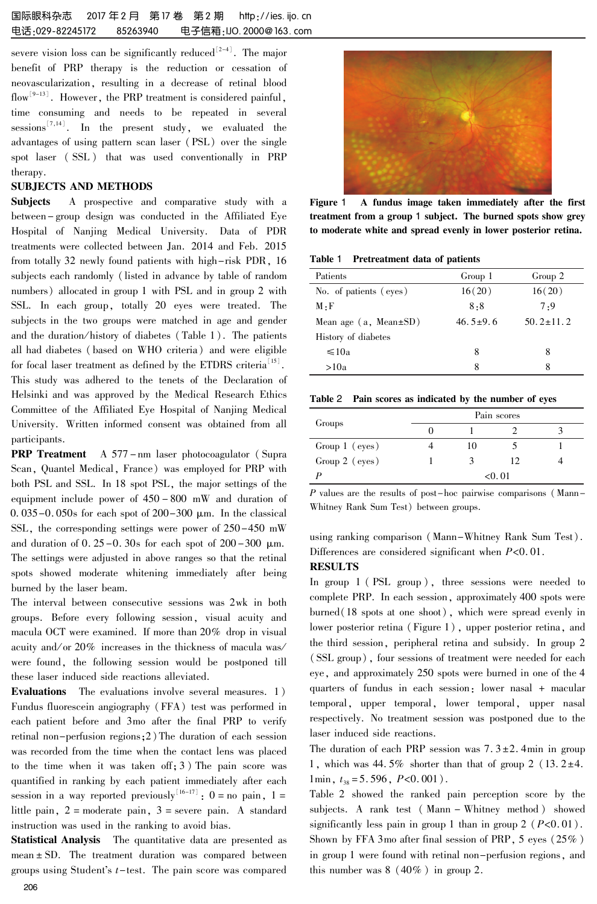severe vision loss can be significantly reduced  $\mathbb{R}^{2-4}$ . The major benefit of PRP therapy is the reduction or cessation of neovascularization, resulting in a decrease of retinal blood flow<sup>[9-13]</sup>. However, the PRP treatment is considered painful, time consuming and needs to be repeated in several  $s$ essions<sup> $\binom{7}{14}$ </sup>. In the present study, we evaluated the advantages of using pattern scan laser (PSL) over the single spot laser ( SSL ) that was used conventionally in PRP therapy.

#### SUBJECTS AND METHODS

Subjects A prospective and comparative study with a between- group design was conducted in the Affiliated Eye Hospital of Nanjing Medical University. Data of PDR treatments were collected between Jan. 2014 and Feb. 2015 from totally 32 newly found patients with high-risk PDR, 16 subjects each randomly (listed in advance by table of random numbers) allocated in group 1 with PSL and in group 2 with SSL. In each group, totally 20 eyes were treated. The subjects in the two groups were matched in age and gender and the duration/history of diabetes (Table 1). The patients all had diabetes ( based on WHO criteria) and were eligible for focal laser treatment as defined by the ETDRS criteria<sup>[15]</sup>.

This study was adhered to the tenets of the Declaration of Helsinki and was approved by the Medical Research Ethics Committee of the Affiliated Eye Hospital of Nanjing Medical University. Written informed consent was obtained from all participants.

**PRP Treatment** A 577-nm laser photocoagulator (Supra Scan, Quantel Medical, France) was employed for PRP with both PSL and SSL. In 18 spot PSL, the major settings of the equipment include power of 450 - 800 mW and duration of 0. 035-0. 050s for each spot of  $200-300 \mu m$ . In the classical SSL, the corresponding settings were power of 250-450 mW and duration of  $0.25-0.30$  s for each spot of  $200-300 \mu m$ . The settings were adjusted in above ranges so that the retinal spots showed moderate whitening immediately after being burned by the laser beam.

The interval between consecutive sessions was 2wk in both groups. Before every following session, visual acuity and macula OCT were examined. If more than 20% drop in visual acuity and/or 20% increases in the thickness of macula was/ were found, the following session would be postponed till these laser induced side reactions alleviated.

Evaluations The evaluations involve several measures. 1) Fundus fluorescein angiography (FFA) test was performed in each patient before and 3mo after the final PRP to verify retinal non-perfusion regions;2) The duration of each session was recorded from the time when the contact lens was placed to the time when it was taken off; 3) The pain score was quantified in ranking by each patient immediately after each session in a way reported previously  $1^{16-17}$ :  $0 =$  no pain,  $1 =$ little pain, 2 = moderate pain, 3 = severe pain. A standard instruction was used in the ranking to avoid bias.

Statistical Analysis The quantitative data are presented as mean  $\pm$  SD. The treatment duration was compared between groups using Student's  $t$ -test. The pain score was compared



Figure 1 A fundus image taken immediately after the first treatment from a group 1 subject. The burned spots show grey to moderate white and spread evenly in lower posterior retina.

Table 1 Pretreatment data of patients

| Patients                    | Group 1        | Group 2         |
|-----------------------------|----------------|-----------------|
| No. of patients (eyes)      | 16(20)         | 16(20)          |
| $M \cdot F$                 | 8.8            | 7.9             |
| Mean age $(a, Mean \pm SD)$ | $46.5 \pm 9.6$ | $50.2 \pm 11.2$ |
| History of diabetes         |                |                 |
| $\leq 10a$                  | 8              | 8               |
| >10a                        | 8              | 8               |

|  |  |  |  | Table 2 Pain scores as indicated by the number of eyes |  |  |  |  |  |
|--|--|--|--|--------------------------------------------------------|--|--|--|--|--|
|--|--|--|--|--------------------------------------------------------|--|--|--|--|--|

| Groups         | Pain scores |    |  |  |  |  |
|----------------|-------------|----|--|--|--|--|
|                |             |    |  |  |  |  |
| Group 1 (eyes) | 10          |    |  |  |  |  |
| Group 2 (eyes) |             | 12 |  |  |  |  |
|                | < 0.01      |    |  |  |  |  |

P values are the results of post-hoc pairwise comparisons (Mann-Whitney Rank Sum Test) between groups.

using ranking comparison (Mann-Whitney Rank Sum Test). Differences are considered significant when  $P<0.01$ .

## **RESULTS**

In group 1 ( PSL group ), three sessions were needed to complete PRP. In each session, approximately 400 spots were burned(18 spots at one shoot), which were spread evenly in lower posterior retina (Figure 1), upper posterior retina, and the third session, peripheral retina and subsidy. In group 2 ( SSL group), four sessions of treatment were needed for each eye, and approximately 250 spots were burned in one of the 4 quarters of fundus in each session: lower nasal + macular temporal, upper temporal, lower temporal, upper nasal respectively. No treatment session was postponed due to the laser induced side reactions.

The duration of each PRP session was  $7.3 \pm 2.4$  min in group 1, which was 44.5% shorter than that of group 2 (13.2 $\pm$ 4. 1min,  $t_{38} = 5.596$ ,  $P < 0.001$ ).

Table 2 showed the ranked pain perception score by the subjects. A rank test ( Mann - Whitney method ) showed significantly less pain in group 1 than in group  $2$  ( $P<0.01$ ). Shown by FFA 3mo after final session of PRP, 5 eyes (25% ) in group 1 were found with retinal non-perfusion regions, and this number was 8 (40% ) in group 2.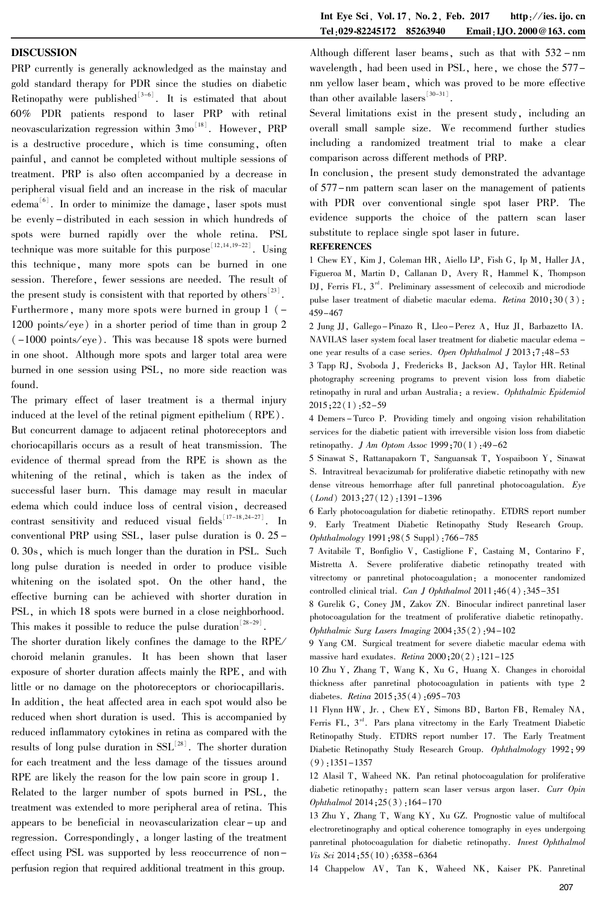#### DISCUSSION

PRP currently is generally acknowledged as the mainstay and gold standard therapy for PDR since the studies on diabetic Retinopathy were published $\int_{0}^{3-6}$ . It is estimated that about 60% PDR patients respond to laser PRP with retinal neovascularization regression within  $3\text{mo}^{\perp^{18}}$ . However, PRP is a destructive procedure, which is time consuming, often painful, and cannot be completed without multiple sessions of treatment. PRP is also often accompanied by a decrease in peripheral visual field and an increase in the risk of macular edema<sup>ted</sup>. In order to minimize the damage, laser spots must be evenly -distributed in each session in which hundreds of spots were burned rapidly over the whole retina. PSL technique was more suitable for this purpose<sup>[12,14,19-22]</sup>. Using this technique, many more spots can be burned in one session. Therefore, fewer sessions are needed. The result of the present study is consistent with that reported by others  $23$ . Furthermore, many more spots were burned in group  $1$  ( $-$ 1200 points/ eye) in a shorter period of time than in group 2 ( -1000 points/ eye). This was because 18 spots were burned in one shoot. Although more spots and larger total area were burned in one session using PSL, no more side reaction was found.

The primary effect of laser treatment is a thermal injury induced at the level of the retinal pigment epithelium (RPE). But concurrent damage to adjacent retinal photoreceptors and choriocapillaris occurs as a result of heat transmission. The evidence of thermal spread from the RPE is shown as the whitening of the retinal, which is taken as the index of successful laser burn. This damage may result in macular edema which could induce loss of central vision, decreased contrast sensitivity and reduced visual fields  $\binom{17-18,24-27}{1}$ . In conventional PRP using SSL, laser pulse duration is 0. 25 - 0.30s, which is much longer than the duration in PSL. Such long pulse duration is needed in order to produce visible whitening on the isolated spot. On the other hand, the effective burning can be achieved with shorter duration in PSL, in which 18 spots were burned in a close neighborhood. This makes it possible to reduce the pulse duration  $28-29$ .

The shorter duration likely confines the damage to the RPE/ choroid melanin granules. It has been shown that laser exposure of shorter duration affects mainly the RPE, and with little or no damage on the photoreceptors or choriocapillaris. In addition, the heat affected area in each spot would also be reduced when short duration is used. This is accompanied by reduced inflammatory cytokines in retina as compared with the results of long pulse duration in  $SSL<sup>[28]</sup>$ . The shorter duration for each treatment and the less damage of the tissues around RPE are likely the reason for the low pain score in group 1.

Related to the larger number of spots burned in PSL, the treatment was extended to more peripheral area of retina. This appears to be beneficial in neovascularization clear - up and regression. Correspondingly, a longer lasting of the treatment effect using PSL was supported by less reoccurrence of nonperfusion region that required additional treatment in this group.

Although different laser beams, such as that with 532 - nm wavelength, had been used in PSL, here, we chose the 577 nm yellow laser beam, which was proved to be more effective than other available lasers  $\left[30-31\right]$ .

Several limitations exist in the present study, including an overall small sample size. We recommend further studies including a randomized treatment trial to make a clear comparison across different methods of PRP.

In conclusion, the present study demonstrated the advantage of 577-nm pattern scan laser on the management of patients with PDR over conventional single spot laser PRP. The evidence supports the choice of the pattern scan laser substitute to replace single spot laser in future.

#### **REFERENCES**

1 Chew EY, Kim J, Coleman HR, Aiello LP, Fish G, Ip M, Haller JA, Figueroa M, Martin D, Callanan D, Avery R, Hammel K, Thompson  $DJ$ , Ferris FL,  $3<sup>nd</sup>$ . Preliminary assessment of celecoxib and microdiode pulse laser treatment of diabetic macular edema. Retina 2010;30(3): 459-467

2 Jung JJ, Gallego-Pinazo R, Lleo-Perez A, Huz JI, Barbazetto IA. NAVILAS laser system focal laser treatment for diabetic macular edema one year results of a case series. Open Ophthalmol J 2013;7:48-53

3 Tapp RJ, Svoboda J, Fredericks B, Jackson AJ, Taylor HR. Retinal photography screening programs to prevent vision loss from diabetic retinopathy in rural and urban Australia: a review. Ophthalmic Epidemiol 2015;22(1):52-59

4 Demers - Turco P. Providing timely and ongoing vision rehabilitation services for the diabetic patient with irreversible vision loss from diabetic retinopathy. *J Am Optom Assoc* 1999;70(1):49-62

5 Sinawat S, Rattanapakorn T, Sanguansak T, Yospaiboon Y, Sinawat S. Intravitreal bevacizumab for proliferative diabetic retinopathy with new dense vitreous hemorrhage after full panretinal photocoagulation. Eye  $(Lond)$  2013;27(12):1391-1396

6 Early photocoagulation for diabetic retinopathy. ETDRS report number 9. Early Treatment Diabetic Retinopathy Study Research Group. Ophthalmology 1991;98(5 Suppl):766-785

7 Avitabile T, Bonfiglio V, Castiglione F, Castaing M, Contarino F, Mistretta A. Severe proliferative diabetic retinopathy treated with vitrectomy or panretinal photocoagulation: a monocenter randomized controlled clinical trial. Can J Ophthalmol 2011;46(4):345-351

8 Gurelik G, Coney JM, Zakov ZN. Binocular indirect panretinal laser photocoagulation for the treatment of proliferative diabetic retinopathy. Ophthalmic Surg Lasers Imaging 2004;35(2):94-102

9 Yang CM. Surgical treatment for severe diabetic macular edema with massive hard exudates. Retina  $2000;20(2):121-125$ 

10 Zhu Y, Zhang T, Wang K, Xu G, Huang X. Changes in choroidal thickness after panretinal photocoagulation in patients with type 2 diabetes. Retina 2015:35(4):695-703

11 Flynn HW, Jr. , Chew EY, Simons BD, Barton FB, Remaley NA, Ferris FL,  $3<sup>rd</sup>$ . Pars plana vitrectomy in the Early Treatment Diabetic Retinopathy Study. ETDRS report number 17. The Early Treatment Diabetic Retinopathy Study Research Group. Ophthalmology 1992; 99  $(9):1351-1357$ 

12 Alasil T, Waheed NK. Pan retinal photocoagulation for proliferative diabetic retinopathy: pattern scan laser versus argon laser. Curr Opin Ophthalmol 2014;25(3):164-170

13 Zhu Y, Zhang T, Wang KY, Xu GZ. Prognostic value of multifocal electroretinography and optical coherence tomography in eyes undergoing panretinal photocoagulation for diabetic retinopathy. Invest Ophthalmol Vis Sci 2014;55(10):6358-6364

14 Chappelow AV, Tan K, Waheed NK, Kaiser PK. Panretinal